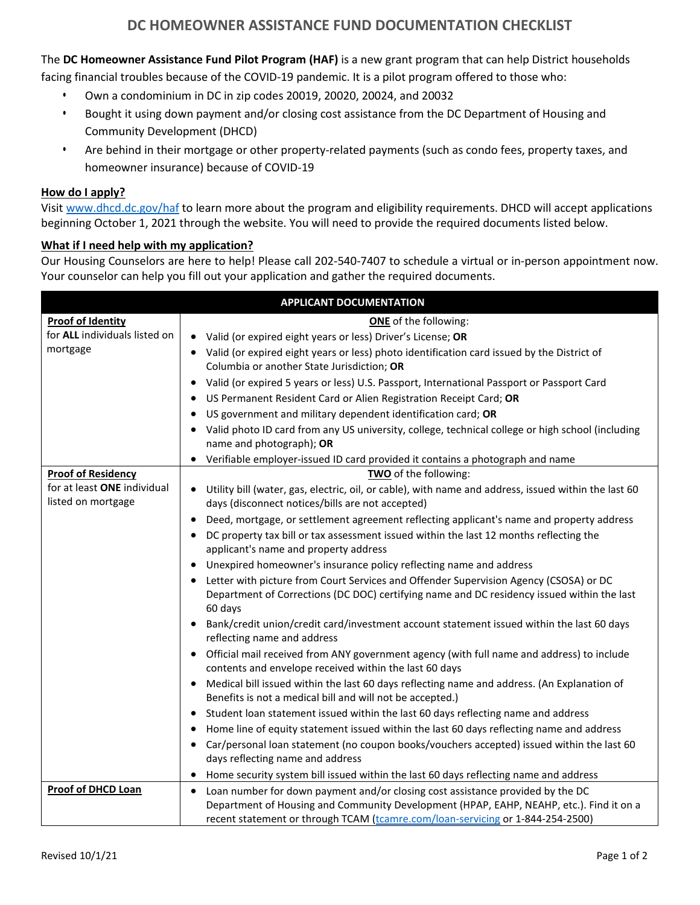## **DC HOMEOWNER ASSISTANCE FUND DOCUMENTATION CHECKLIST**

The **DC Homeowner Assistance Fund Pilot Program (HAF)** is a new grant program that can help District households

facing financial troubles because of the COVID-19 pandemic. It is a pilot program offered to those who:

- **•** Own a condominium in DC in zip codes 20019, 20020, 20024, and 20032
- **•** Bought it using down payment and/or closing cost assistance from the DC Department of Housing and Community Development (DHCD)
- **•** Are behind in their mortgage or other property-related payments (such as condo fees, property taxes, and homeowner insurance) because of COVID-19

## **How do I apply?**

Visit [www.dhcd.dc.gov/haf](http://www.dhcd.dc.gov/haf) to learn more about the program and eligibility requirements. DHCD will accept applications beginning October 1, 2021 through the website. You will need to provide the required documents listed below.

## **What if I need help with my application?**

Our Housing Counselors are here to help! Please call [202-540-7407](tel:2025407407) to schedule a virtual or in-person appointment now. Your counselor can help you fill out your application and gather the required documents.

| <b>APPLICANT DOCUMENTATION</b>       |                                                                                                                                                                                       |  |  |
|--------------------------------------|---------------------------------------------------------------------------------------------------------------------------------------------------------------------------------------|--|--|
| <b>Proof of Identity</b>             | <b>ONE</b> of the following:                                                                                                                                                          |  |  |
| for <b>ALL</b> individuals listed on | Valid (or expired eight years or less) Driver's License; OR<br>$\bullet$                                                                                                              |  |  |
| mortgage                             | • Valid (or expired eight years or less) photo identification card issued by the District of                                                                                          |  |  |
|                                      | Columbia or another State Jurisdiction; OR                                                                                                                                            |  |  |
|                                      | Valid (or expired 5 years or less) U.S. Passport, International Passport or Passport Card<br>٠                                                                                        |  |  |
|                                      | US Permanent Resident Card or Alien Registration Receipt Card; OR<br>٠                                                                                                                |  |  |
|                                      | US government and military dependent identification card; OR<br>٠                                                                                                                     |  |  |
|                                      | Valid photo ID card from any US university, college, technical college or high school (including                                                                                      |  |  |
|                                      | name and photograph); OR                                                                                                                                                              |  |  |
|                                      | • Verifiable employer-issued ID card provided it contains a photograph and name                                                                                                       |  |  |
| <b>Proof of Residency</b>            | TWO of the following:                                                                                                                                                                 |  |  |
| for at least ONE individual          | • Utility bill (water, gas, electric, oil, or cable), with name and address, issued within the last 60                                                                                |  |  |
| listed on mortgage                   | days (disconnect notices/bills are not accepted)                                                                                                                                      |  |  |
|                                      | Deed, mortgage, or settlement agreement reflecting applicant's name and property address<br>٠                                                                                         |  |  |
|                                      | DC property tax bill or tax assessment issued within the last 12 months reflecting the<br>٠                                                                                           |  |  |
|                                      | applicant's name and property address                                                                                                                                                 |  |  |
|                                      | Unexpired homeowner's insurance policy reflecting name and address<br>$\bullet$                                                                                                       |  |  |
|                                      | Letter with picture from Court Services and Offender Supervision Agency (CSOSA) or DC<br>٠                                                                                            |  |  |
|                                      | Department of Corrections (DC DOC) certifying name and DC residency issued within the last                                                                                            |  |  |
|                                      | 60 days                                                                                                                                                                               |  |  |
|                                      | Bank/credit union/credit card/investment account statement issued within the last 60 days<br>reflecting name and address                                                              |  |  |
|                                      | Official mail received from ANY government agency (with full name and address) to include<br>٠                                                                                        |  |  |
|                                      | contents and envelope received within the last 60 days                                                                                                                                |  |  |
|                                      | Medical bill issued within the last 60 days reflecting name and address. (An Explanation of<br>٠<br>Benefits is not a medical bill and will not be accepted.)                         |  |  |
|                                      | Student loan statement issued within the last 60 days reflecting name and address<br>$\bullet$                                                                                        |  |  |
|                                      | ٠                                                                                                                                                                                     |  |  |
|                                      | Home line of equity statement issued within the last 60 days reflecting name and address<br>Car/personal loan statement (no coupon books/vouchers accepted) issued within the last 60 |  |  |
|                                      | $\bullet$<br>days reflecting name and address                                                                                                                                         |  |  |
|                                      | Home security system bill issued within the last 60 days reflecting name and address                                                                                                  |  |  |
| <b>Proof of DHCD Loan</b>            | Loan number for down payment and/or closing cost assistance provided by the DC<br>٠                                                                                                   |  |  |
|                                      | Department of Housing and Community Development (HPAP, EAHP, NEAHP, etc.). Find it on a                                                                                               |  |  |
|                                      | recent statement or through TCAM (tcamre.com/loan-servicing or 1-844-254-2500)                                                                                                        |  |  |